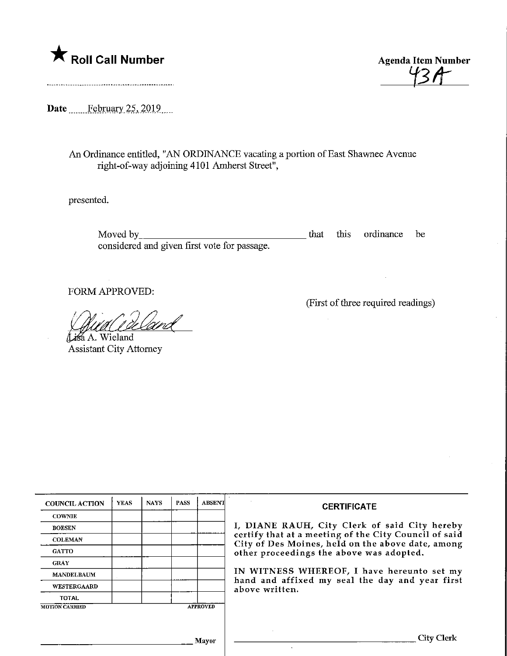

Agenda Item Number l Item Numl<br>'Y3A

Date February 25, 2019

An Ordinance entitled, "AN ORDINANCE vacating a portion of East Shavmee Avenue right-of-way adjoining 4101 Amherst Street",

presented.

Moved by that this ordinance be considered and given first vote for passage.

FORM APPROVED:

<u>fideland</u>

Lisa A. Wieland Assistant City Attorney (First of three required readings)

| <b>COUNCIL ACTION</b> | <b>YEAS</b> | <b>NAYS</b> | <b>PASS</b> | <b>ABSENT</b>   | <b>CERTIFICATE</b>                                                                                                                                                                                      |  |  |
|-----------------------|-------------|-------------|-------------|-----------------|---------------------------------------------------------------------------------------------------------------------------------------------------------------------------------------------------------|--|--|
| <b>COWNIE</b>         |             |             |             |                 | I, DIANE RAUH, City Clerk of said City hereby<br>certify that at a meeting of the City Council of said<br>City of Des Moines, held on the above date, among<br>other proceedings the above was adopted. |  |  |
| <b>BOESEN</b>         |             |             |             |                 |                                                                                                                                                                                                         |  |  |
| <b>COLEMAN</b>        |             |             |             |                 |                                                                                                                                                                                                         |  |  |
| <b>GATTO</b>          |             |             |             |                 |                                                                                                                                                                                                         |  |  |
| <b>GRAY</b>           |             |             |             |                 |                                                                                                                                                                                                         |  |  |
| <b>MANDELBAUM</b>     |             |             |             |                 | IN WITNESS WHEREOF, I have hereunto set my<br>hand and affixed my seal the day and year first<br>above written.                                                                                         |  |  |
| <b>WESTERGAARD</b>    |             |             |             |                 |                                                                                                                                                                                                         |  |  |
| <b>TOTAL</b>          |             |             |             |                 |                                                                                                                                                                                                         |  |  |
| <b>MOTION CARRIED</b> |             |             |             | <b>APPROVED</b> |                                                                                                                                                                                                         |  |  |
|                       |             |             |             |                 |                                                                                                                                                                                                         |  |  |
|                       |             |             |             |                 |                                                                                                                                                                                                         |  |  |
|                       |             |             |             | Mavor           | City Clerk                                                                                                                                                                                              |  |  |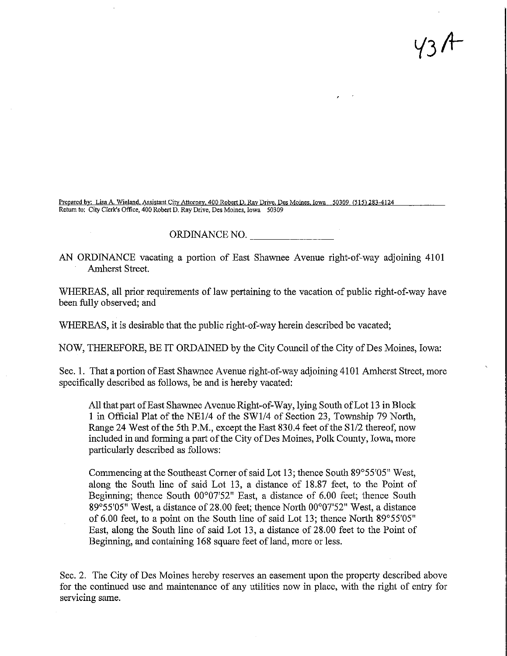$43A$ 

Prepared by: Lisa A. Wieland, Assistant City Attorney, 400 Robert D. Ray Drive, Des Moines, Iowa 50309 (515) 283-4124 Return to: City Clerk's Office. 400 Robert D. Ray Drive, Des Moines, Iowa 50309

## ORDINANCE NO.

AN ORDINANCE vacating a portion of East Shawnee Avenue right-of-way adjoining 4101 Amherst Street.

WHEREAS, all prior requirements of law pertaining to the vacation of public right-of-way have been fully observed; and

WHEREAS, it is desirable that the public right-of-way herein described be vacated;

NOW, THEREFORE, BE IT ORDAINED by the City Council of the City of Des Moines, Iowa:

Sec. 1. That a portion of East Shawnee Avenue right-of-way adjoining 4101 Amherst Street, more specifically described as follows, be and is hereby vacated:

All that part of East Shawnee Avenue Right-of-Way, lying South of Lot 13 in Block 1 in Official Plat of the NE1/4 of the SW1/4 of Section 23, Township 79 North, Range 24 West of the 5th P.M., except the East 830.4 feet of the Sl/2 thereof, now included in and forming a part of the City of Des Moines, Polk County, Iowa, more particularly described as follows:

Commencing at the Southeast Corner of said Lot 13; thence South 89°55'05" West, along the South line of said Lot 13, a distance of 18.87 feet, to the Point of Beginning; fhence South 00°07'52" East, a distance of 6.00 feet; thence South 89°55'05" West, a distance of 28.00 feet; thence North 00°07'52" West, a distance of 6.00 feet, to a point on the South line of said Lot 13; thence North 89°55'05" East, along the South line of said Lot 13, a distance of 28.00 feet to the Pomt of Beginning, and containing 168 square feet of land, more or less.

Sec. 2. The City of Des Moines hereby reserves an easement upon the property described above for the continued use and maintenance of any utilities now in place, with the right of entry for servicing same.